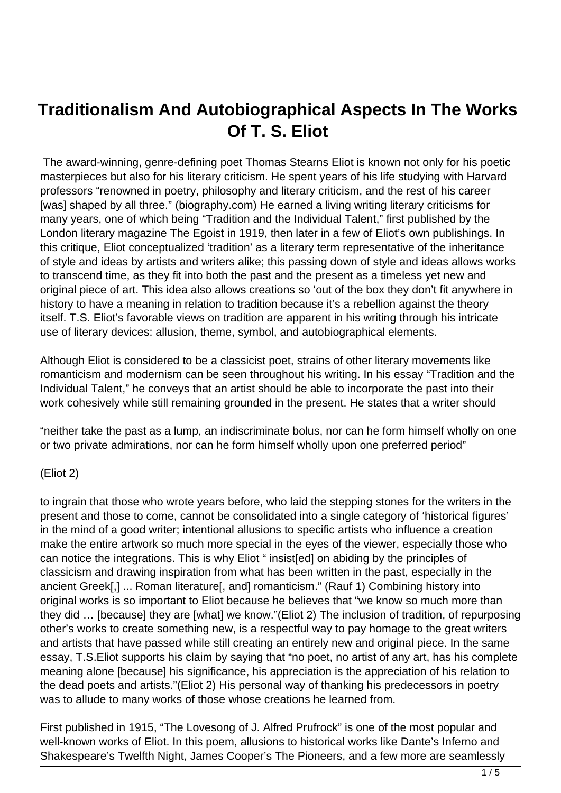# **Traditionalism And Autobiographical Aspects In The Works Of T. S. Eliot**

 The award-winning, genre-defining poet Thomas Stearns Eliot is known not only for his poetic masterpieces but also for his literary criticism. He spent years of his life studying with Harvard professors "renowned in poetry, philosophy and literary criticism, and the rest of his career [was] shaped by all three." (biography.com) He earned a living writing literary criticisms for many years, one of which being "Tradition and the Individual Talent," first published by the London literary magazine The Egoist in 1919, then later in a few of Eliot's own publishings. In this critique, Eliot conceptualized 'tradition' as a literary term representative of the inheritance of style and ideas by artists and writers alike; this passing down of style and ideas allows works to transcend time, as they fit into both the past and the present as a timeless yet new and original piece of art. This idea also allows creations so 'out of the box they don't fit anywhere in history to have a meaning in relation to tradition because it's a rebellion against the theory itself. T.S. Eliot's favorable views on tradition are apparent in his writing through his intricate use of literary devices: allusion, theme, symbol, and autobiographical elements.

Although Eliot is considered to be a classicist poet, strains of other literary movements like romanticism and modernism can be seen throughout his writing. In his essay "Tradition and the Individual Talent," he conveys that an artist should be able to incorporate the past into their work cohesively while still remaining grounded in the present. He states that a writer should

"neither take the past as a lump, an indiscriminate bolus, nor can he form himself wholly on one or two private admirations, nor can he form himself wholly upon one preferred period"

#### (Eliot 2)

to ingrain that those who wrote years before, who laid the stepping stones for the writers in the present and those to come, cannot be consolidated into a single category of 'historical figures' in the mind of a good writer; intentional allusions to specific artists who influence a creation make the entire artwork so much more special in the eyes of the viewer, especially those who can notice the integrations. This is why Eliot " insist[ed] on abiding by the principles of classicism and drawing inspiration from what has been written in the past, especially in the ancient Greek[,] ... Roman literature[, and] romanticism." (Rauf 1) Combining history into original works is so important to Eliot because he believes that "we know so much more than they did … [because] they are [what] we know."(Eliot 2) The inclusion of tradition, of repurposing other's works to create something new, is a respectful way to pay homage to the great writers and artists that have passed while still creating an entirely new and original piece. In the same essay, T.S.Eliot supports his claim by saying that "no poet, no artist of any art, has his complete meaning alone [because] his significance, his appreciation is the appreciation of his relation to the dead poets and artists."(Eliot 2) His personal way of thanking his predecessors in poetry was to allude to many works of those whose creations he learned from.

First published in 1915, "The Lovesong of J. Alfred Prufrock" is one of the most popular and well-known works of Eliot. In this poem, allusions to historical works like Dante's Inferno and Shakespeare's Twelfth Night, James Cooper's The Pioneers, and a few more are seamlessly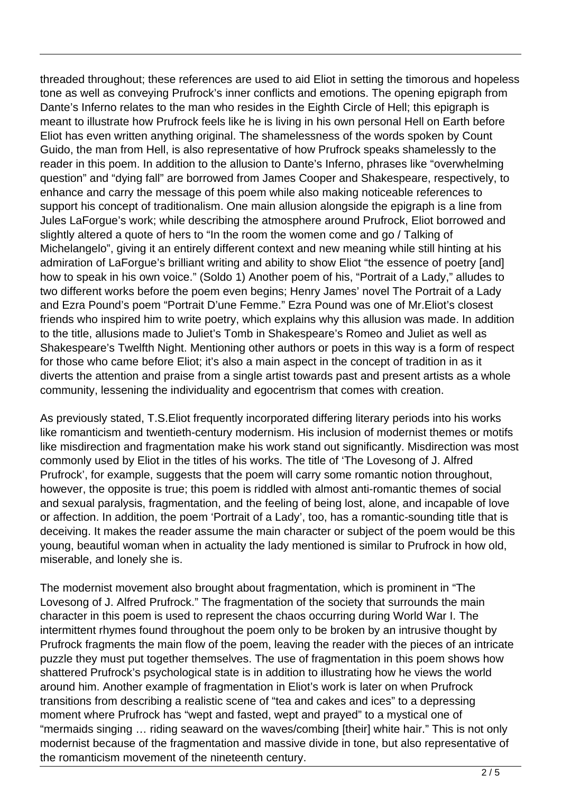threaded throughout; these references are used to aid Eliot in setting the timorous and hopeless tone as well as conveying Prufrock's inner conflicts and emotions. The opening epigraph from Dante's Inferno relates to the man who resides in the Eighth Circle of Hell; this epigraph is meant to illustrate how Prufrock feels like he is living in his own personal Hell on Earth before Eliot has even written anything original. The shamelessness of the words spoken by Count Guido, the man from Hell, is also representative of how Prufrock speaks shamelessly to the reader in this poem. In addition to the allusion to Dante's Inferno, phrases like "overwhelming question" and "dying fall" are borrowed from James Cooper and Shakespeare, respectively, to enhance and carry the message of this poem while also making noticeable references to support his concept of traditionalism. One main allusion alongside the epigraph is a line from Jules LaForgue's work; while describing the atmosphere around Prufrock, Eliot borrowed and slightly altered a quote of hers to "In the room the women come and go / Talking of Michelangelo", giving it an entirely different context and new meaning while still hinting at his admiration of LaForgue's brilliant writing and ability to show Eliot "the essence of poetry [and] how to speak in his own voice." (Soldo 1) Another poem of his, "Portrait of a Lady," alludes to two different works before the poem even begins; Henry James' novel The Portrait of a Lady and Ezra Pound's poem "Portrait D'une Femme." Ezra Pound was one of Mr.Eliot's closest friends who inspired him to write poetry, which explains why this allusion was made. In addition to the title, allusions made to Juliet's Tomb in Shakespeare's Romeo and Juliet as well as Shakespeare's Twelfth Night. Mentioning other authors or poets in this way is a form of respect for those who came before Eliot; it's also a main aspect in the concept of tradition in as it diverts the attention and praise from a single artist towards past and present artists as a whole community, lessening the individuality and egocentrism that comes with creation.

As previously stated, T.S.Eliot frequently incorporated differing literary periods into his works like romanticism and twentieth-century modernism. His inclusion of modernist themes or motifs like misdirection and fragmentation make his work stand out significantly. Misdirection was most commonly used by Eliot in the titles of his works. The title of 'The Lovesong of J. Alfred Prufrock', for example, suggests that the poem will carry some romantic notion throughout, however, the opposite is true; this poem is riddled with almost anti-romantic themes of social and sexual paralysis, fragmentation, and the feeling of being lost, alone, and incapable of love or affection. In addition, the poem 'Portrait of a Lady', too, has a romantic-sounding title that is deceiving. It makes the reader assume the main character or subject of the poem would be this young, beautiful woman when in actuality the lady mentioned is similar to Prufrock in how old, miserable, and lonely she is.

The modernist movement also brought about fragmentation, which is prominent in "The Lovesong of J. Alfred Prufrock." The fragmentation of the society that surrounds the main character in this poem is used to represent the chaos occurring during World War I. The intermittent rhymes found throughout the poem only to be broken by an intrusive thought by Prufrock fragments the main flow of the poem, leaving the reader with the pieces of an intricate puzzle they must put together themselves. The use of fragmentation in this poem shows how shattered Prufrock's psychological state is in addition to illustrating how he views the world around him. Another example of fragmentation in Eliot's work is later on when Prufrock transitions from describing a realistic scene of "tea and cakes and ices" to a depressing moment where Prufrock has "wept and fasted, wept and prayed" to a mystical one of "mermaids singing … riding seaward on the waves/combing [their] white hair." This is not only modernist because of the fragmentation and massive divide in tone, but also representative of the romanticism movement of the nineteenth century.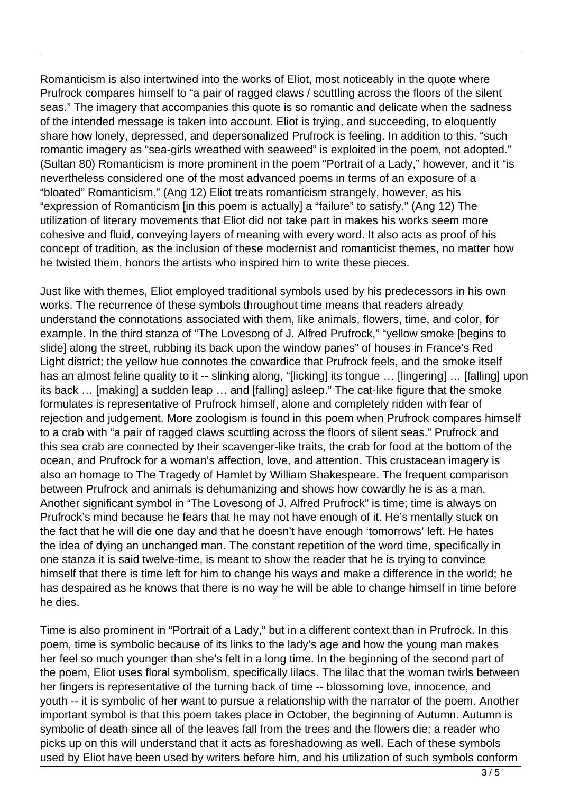Romanticism is also intertwined into the works of Eliot, most noticeably in the quote where Prufrock compares himself to "a pair of ragged claws / scuttling across the floors of the silent seas." The imagery that accompanies this quote is so romantic and delicate when the sadness of the intended message is taken into account. Eliot is trying, and succeeding, to eloquently share how lonely, depressed, and depersonalized Prufrock is feeling. In addition to this, "such romantic imagery as "sea-girls wreathed with seaweed" is exploited in the poem, not adopted." (Sultan 80) Romanticism is more prominent in the poem "Portrait of a Lady," however, and it "is nevertheless considered one of the most advanced poems in terms of an exposure of a "bloated" Romanticism." (Ang 12) Eliot treats romanticism strangely, however, as his "expression of Romanticism [in this poem is actually] a "failure" to satisfy." (Ang 12) The utilization of literary movements that Eliot did not take part in makes his works seem more cohesive and fluid, conveying layers of meaning with every word. It also acts as proof of his concept of tradition, as the inclusion of these modernist and romanticist themes, no matter how he twisted them, honors the artists who inspired him to write these pieces.

Just like with themes, Eliot employed traditional symbols used by his predecessors in his own works. The recurrence of these symbols throughout time means that readers already understand the connotations associated with them, like animals, flowers, time, and color, for example. In the third stanza of "The Lovesong of J. Alfred Prufrock," "yellow smoke [begins to slide] along the street, rubbing its back upon the window panes" of houses in France's Red Light district; the yellow hue connotes the cowardice that Prufrock feels, and the smoke itself has an almost feline quality to it -- slinking along, "[licking] its tongue ... [lingering] ... [falling] upon its back … [making] a sudden leap … and [falling] asleep." The cat-like figure that the smoke formulates is representative of Prufrock himself, alone and completely ridden with fear of rejection and judgement. More zoologism is found in this poem when Prufrock compares himself to a crab with "a pair of ragged claws scuttling across the floors of silent seas." Prufrock and this sea crab are connected by their scavenger-like traits, the crab for food at the bottom of the ocean, and Prufrock for a woman's affection, love, and attention. This crustacean imagery is also an homage to The Tragedy of Hamlet by William Shakespeare. The frequent comparison between Prufrock and animals is dehumanizing and shows how cowardly he is as a man. Another significant symbol in "The Lovesong of J. Alfred Prufrock" is time; time is always on Prufrock's mind because he fears that he may not have enough of it. He's mentally stuck on the fact that he will die one day and that he doesn't have enough 'tomorrows' left. He hates the idea of dying an unchanged man. The constant repetition of the word time, specifically in one stanza it is said twelve-time, is meant to show the reader that he is trying to convince himself that there is time left for him to change his ways and make a difference in the world; he has despaired as he knows that there is no way he will be able to change himself in time before he dies.

Time is also prominent in "Portrait of a Lady," but in a different context than in Prufrock. In this poem, time is symbolic because of its links to the lady's age and how the young man makes her feel so much younger than she's felt in a long time. In the beginning of the second part of the poem, Eliot uses floral symbolism, specifically lilacs. The lilac that the woman twirls between her fingers is representative of the turning back of time -- blossoming love, innocence, and youth -- it is symbolic of her want to pursue a relationship with the narrator of the poem. Another important symbol is that this poem takes place in October, the beginning of Autumn. Autumn is symbolic of death since all of the leaves fall from the trees and the flowers die; a reader who picks up on this will understand that it acts as foreshadowing as well. Each of these symbols used by Eliot have been used by writers before him, and his utilization of such symbols conform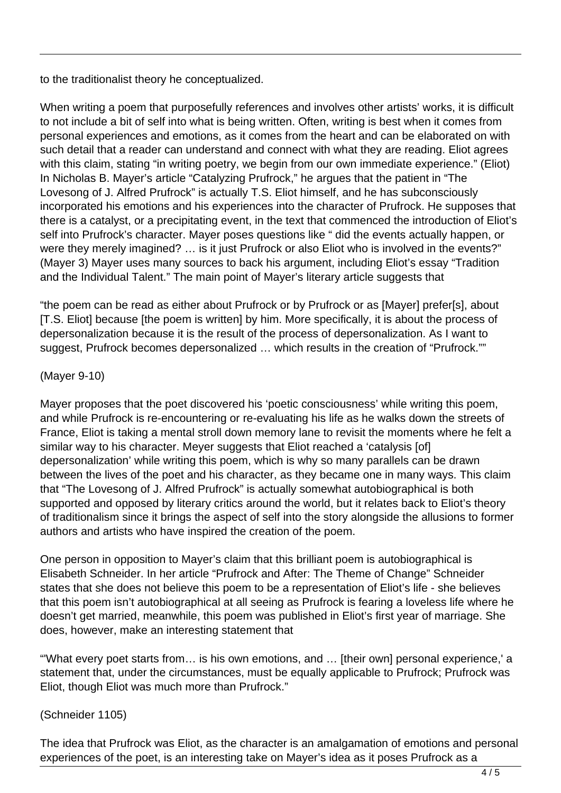to the traditionalist theory he conceptualized.

When writing a poem that purposefully references and involves other artists' works, it is difficult to not include a bit of self into what is being written. Often, writing is best when it comes from personal experiences and emotions, as it comes from the heart and can be elaborated on with such detail that a reader can understand and connect with what they are reading. Eliot agrees with this claim, stating "in writing poetry, we begin from our own immediate experience." (Eliot) In Nicholas B. Mayer's article "Catalyzing Prufrock," he argues that the patient in "The Lovesong of J. Alfred Prufrock" is actually T.S. Eliot himself, and he has subconsciously incorporated his emotions and his experiences into the character of Prufrock. He supposes that there is a catalyst, or a precipitating event, in the text that commenced the introduction of Eliot's self into Prufrock's character. Mayer poses questions like " did the events actually happen, or were they merely imagined? ... is it just Prufrock or also Eliot who is involved in the events?" (Mayer 3) Mayer uses many sources to back his argument, including Eliot's essay "Tradition and the Individual Talent." The main point of Mayer's literary article suggests that

"the poem can be read as either about Prufrock or by Prufrock or as [Mayer] prefer[s], about [T.S. Eliot] because [the poem is written] by him. More specifically, it is about the process of depersonalization because it is the result of the process of depersonalization. As I want to suggest, Prufrock becomes depersonalized … which results in the creation of "Prufrock.""

#### (Mayer 9-10)

Mayer proposes that the poet discovered his 'poetic consciousness' while writing this poem, and while Prufrock is re-encountering or re-evaluating his life as he walks down the streets of France, Eliot is taking a mental stroll down memory lane to revisit the moments where he felt a similar way to his character. Meyer suggests that Eliot reached a 'catalysis [of] depersonalization' while writing this poem, which is why so many parallels can be drawn between the lives of the poet and his character, as they became one in many ways. This claim that "The Lovesong of J. Alfred Prufrock" is actually somewhat autobiographical is both supported and opposed by literary critics around the world, but it relates back to Eliot's theory of traditionalism since it brings the aspect of self into the story alongside the allusions to former authors and artists who have inspired the creation of the poem.

One person in opposition to Mayer's claim that this brilliant poem is autobiographical is Elisabeth Schneider. In her article "Prufrock and After: The Theme of Change" Schneider states that she does not believe this poem to be a representation of Eliot's life - she believes that this poem isn't autobiographical at all seeing as Prufrock is fearing a loveless life where he doesn't get married, meanwhile, this poem was published in Eliot's first year of marriage. She does, however, make an interesting statement that

"'What every poet starts from… is his own emotions, and … [their own] personal experience,' a statement that, under the circumstances, must be equally applicable to Prufrock; Prufrock was Eliot, though Eliot was much more than Prufrock."

### (Schneider 1105)

The idea that Prufrock was Eliot, as the character is an amalgamation of emotions and personal experiences of the poet, is an interesting take on Mayer's idea as it poses Prufrock as a